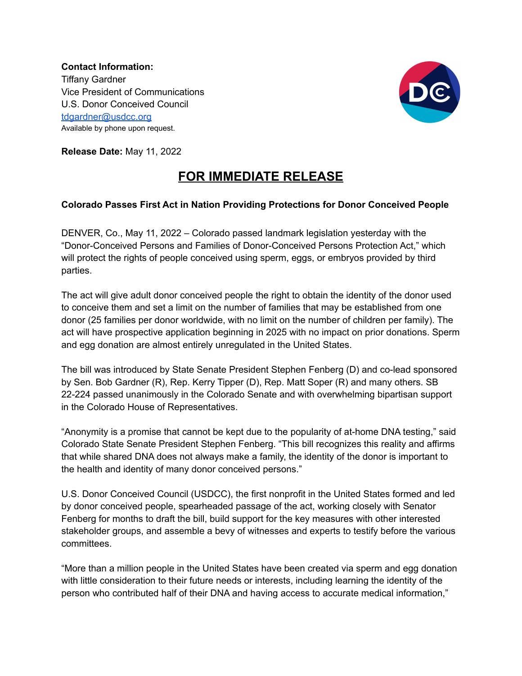**Contact Information:** Tiffany Gardner Vice President of Communications U.S. Donor Conceived Council [tdgardner@usdcc.org](mailto:tdgardner@usdcc.org) Available by phone upon request.



**Release Date:** May 11, 2022

## **FOR IMMEDIATE RELEASE**

## **Colorado Passes First Act in Nation Providing Protections for Donor Conceived People**

DENVER, Co., May 11, 2022 – Colorado passed landmark legislation yesterday with the "Donor-Conceived Persons and Families of Donor-Conceived Persons Protection Act," which will protect the rights of people conceived using sperm, eggs, or embryos provided by third parties.

The act will give adult donor conceived people the right to obtain the identity of the donor used to conceive them and set a limit on the number of families that may be established from one donor (25 families per donor worldwide, with no limit on the number of children per family). The act will have prospective application beginning in 2025 with no impact on prior donations. Sperm and egg donation are almost entirely unregulated in the United States.

The bill was introduced by State Senate President Stephen Fenberg (D) and co-lead sponsored by Sen. Bob Gardner (R), Rep. Kerry Tipper (D), Rep. Matt Soper (R) and many others. SB 22-224 passed unanimously in the Colorado Senate and with overwhelming bipartisan support in the Colorado House of Representatives.

"Anonymity is a promise that cannot be kept due to the popularity of at-home DNA testing," said Colorado State Senate President Stephen Fenberg. "This bill recognizes this reality and affirms that while shared DNA does not always make a family, the identity of the donor is important to the health and identity of many donor conceived persons."

U.S. Donor Conceived Council (USDCC), the first nonprofit in the United States formed and led by donor conceived people, spearheaded passage of the act, working closely with Senator Fenberg for months to draft the bill, build support for the key measures with other interested stakeholder groups, and assemble a bevy of witnesses and experts to testify before the various committees.

"More than a million people in the United States have been created via sperm and egg donation with little consideration to their future needs or interests, including learning the identity of the person who contributed half of their DNA and having access to accurate medical information,"